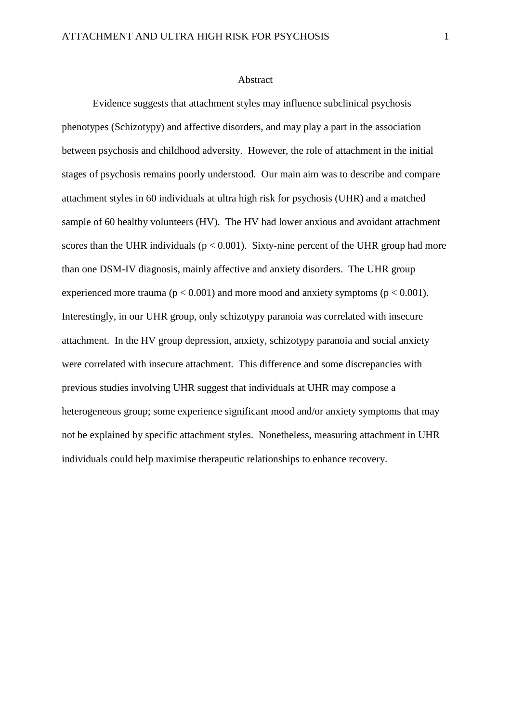## Abstract

Evidence suggests that attachment styles may influence subclinical psychosis phenotypes (Schizotypy) and affective disorders, and may play a part in the association between psychosis and childhood adversity. However, the role of attachment in the initial stages of psychosis remains poorly understood. Our main aim was to describe and compare attachment styles in 60 individuals at ultra high risk for psychosis (UHR) and a matched sample of 60 healthy volunteers (HV). The HV had lower anxious and avoidant attachment scores than the UHR individuals ( $p < 0.001$ ). Sixty-nine percent of the UHR group had more than one DSM-IV diagnosis, mainly affective and anxiety disorders. The UHR group experienced more trauma ( $p < 0.001$ ) and more mood and anxiety symptoms ( $p < 0.001$ ). Interestingly, in our UHR group, only schizotypy paranoia was correlated with insecure attachment. In the HV group depression, anxiety, schizotypy paranoia and social anxiety were correlated with insecure attachment. This difference and some discrepancies with previous studies involving UHR suggest that individuals at UHR may compose a heterogeneous group; some experience significant mood and/or anxiety symptoms that may not be explained by specific attachment styles. Nonetheless, measuring attachment in UHR individuals could help maximise therapeutic relationships to enhance recovery.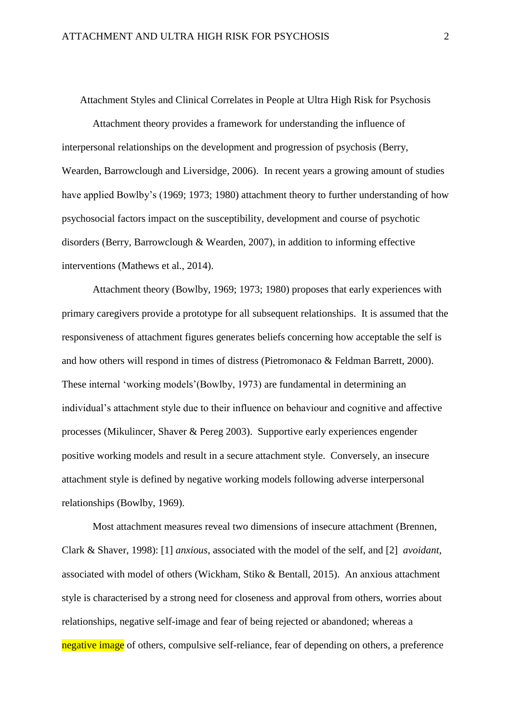Attachment Styles and Clinical Correlates in People at Ultra High Risk for Psychosis

Attachment theory provides a framework for understanding the influence of interpersonal relationships on the development and progression of psychosis (Berry, Wearden, Barrowclough and Liversidge, 2006). In recent years a growing amount of studies have applied Bowlby's (1969; 1973; 1980) attachment theory to further understanding of how psychosocial factors impact on the susceptibility, development and course of psychotic disorders (Berry, Barrowclough & Wearden, 2007), in addition to informing effective interventions (Mathews et al., 2014).

Attachment theory (Bowlby, 1969; 1973; 1980) proposes that early experiences with primary caregivers provide a prototype for all subsequent relationships. It is assumed that the responsiveness of attachment figures generates beliefs concerning how acceptable the self is and how others will respond in times of distress (Pietromonaco & Feldman Barrett, 2000). These internal 'working models'(Bowlby, 1973) are fundamental in determining an individual's attachment style due to their influence on behaviour and cognitive and affective processes (Mikulincer, Shaver & Pereg 2003). Supportive early experiences engender positive working models and result in a secure attachment style. Conversely, an insecure attachment style is defined by negative working models following adverse interpersonal relationships (Bowlby, 1969).

Most attachment measures reveal two dimensions of insecure attachment (Brennen, Clark & Shaver, 1998): [1] *anxious*, associated with the model of the self, and [2] *avoidant*, associated with model of others (Wickham, Stiko & Bentall, 2015). An anxious attachment style is characterised by a strong need for closeness and approval from others, worries about relationships, negative self-image and fear of being rejected or abandoned; whereas a negative image of others, compulsive self-reliance, fear of depending on others, a preference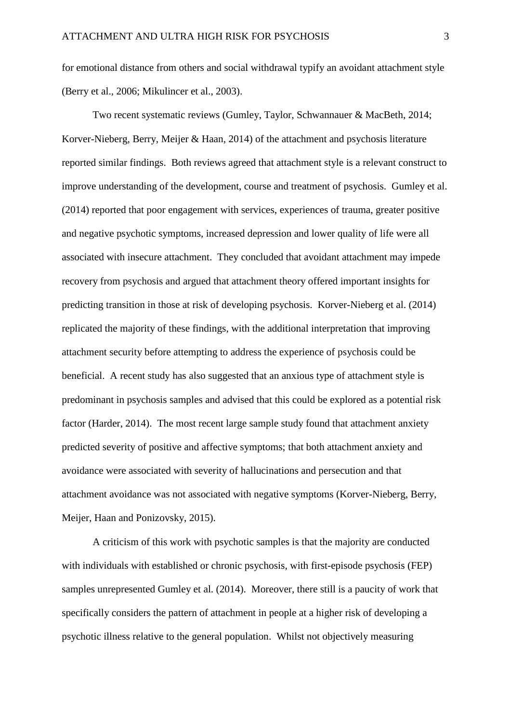for emotional distance from others and social withdrawal typify an avoidant attachment style (Berry et al., 2006; Mikulincer et al., 2003).

Two recent systematic reviews (Gumley, Taylor, Schwannauer & MacBeth, 2014; Korver-Nieberg, Berry, Meijer & Haan, 2014) of the attachment and psychosis literature reported similar findings. Both reviews agreed that attachment style is a relevant construct to improve understanding of the development, course and treatment of psychosis. Gumley et al. (2014) reported that poor engagement with services, experiences of trauma, greater positive and negative psychotic symptoms, increased depression and lower quality of life were all associated with insecure attachment. They concluded that avoidant attachment may impede recovery from psychosis and argued that attachment theory offered important insights for predicting transition in those at risk of developing psychosis. Korver-Nieberg et al. (2014) replicated the majority of these findings, with the additional interpretation that improving attachment security before attempting to address the experience of psychosis could be beneficial. A recent study has also suggested that an anxious type of attachment style is predominant in psychosis samples and advised that this could be explored as a potential risk factor (Harder, 2014). The most recent large sample study found that attachment anxiety predicted severity of positive and affective symptoms; that both attachment anxiety and avoidance were associated with severity of hallucinations and persecution and that attachment avoidance was not associated with negative symptoms (Korver-Nieberg, Berry, Meijer, Haan and Ponizovsky, 2015).

A criticism of this work with psychotic samples is that the majority are conducted with individuals with established or chronic psychosis, with first-episode psychosis (FEP) samples unrepresented Gumley et al. (2014). Moreover, there still is a paucity of work that specifically considers the pattern of attachment in people at a higher risk of developing a psychotic illness relative to the general population. Whilst not objectively measuring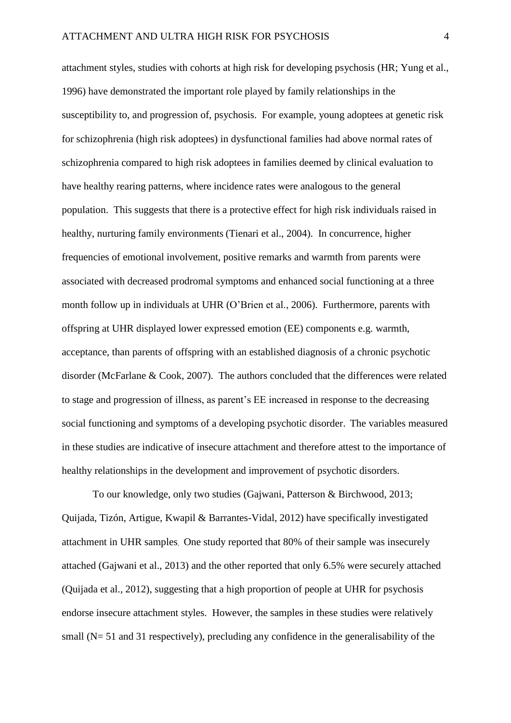attachment styles, studies with cohorts at high risk for developing psychosis (HR; Yung et al., 1996) have demonstrated the important role played by family relationships in the susceptibility to, and progression of, psychosis. For example, young adoptees at genetic risk for schizophrenia (high risk adoptees) in dysfunctional families had above normal rates of schizophrenia compared to high risk adoptees in families deemed by clinical evaluation to have healthy rearing patterns, where incidence rates were analogous to the general population. This suggests that there is a protective effect for high risk individuals raised in healthy, nurturing family environments (Tienari et al., 2004). In concurrence, higher frequencies of emotional involvement, positive remarks and warmth from parents were associated with decreased prodromal symptoms and enhanced social functioning at a three month follow up in individuals at UHR (O'Brien et al., 2006). Furthermore, parents with offspring at UHR displayed lower expressed emotion (EE) components e.g. warmth, acceptance, than parents of offspring with an established diagnosis of a chronic psychotic disorder (McFarlane & Cook, 2007). The authors concluded that the differences were related to stage and progression of illness, as parent's EE increased in response to the decreasing social functioning and symptoms of a developing psychotic disorder. The variables measured in these studies are indicative of insecure attachment and therefore attest to the importance of healthy relationships in the development and improvement of psychotic disorders.

To our knowledge, only two studies (Gajwani, Patterson & Birchwood, 2013; Quijada, Tizón, Artigue, Kwapil & Barrantes-Vidal, 2012) have specifically investigated attachment in UHR samples. One study reported that 80% of their sample was insecurely attached (Gajwani et al., 2013) and the other reported that only 6.5% were securely attached (Quijada et al., 2012), suggesting that a high proportion of people at UHR for psychosis endorse insecure attachment styles. However, the samples in these studies were relatively small (N= 51 and 31 respectively), precluding any confidence in the generalisability of the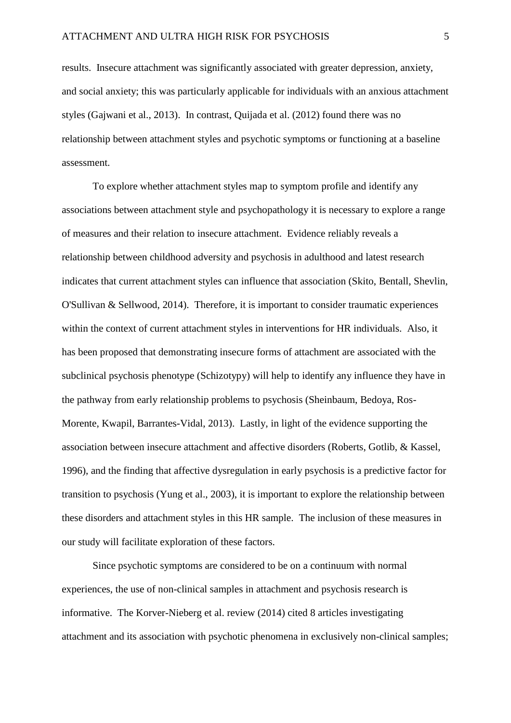results. Insecure attachment was significantly associated with greater depression, anxiety, and social anxiety; this was particularly applicable for individuals with an anxious attachment styles (Gajwani et al., 2013). In contrast, Quijada et al. (2012) found there was no relationship between attachment styles and psychotic symptoms or functioning at a baseline assessment.

To explore whether attachment styles map to symptom profile and identify any associations between attachment style and psychopathology it is necessary to explore a range of measures and their relation to insecure attachment. Evidence reliably reveals a relationship between childhood adversity and psychosis in adulthood and latest research indicates that current attachment styles can influence that association (Skito, Bentall, Shevlin, O'Sullivan & Sellwood, 2014). Therefore, it is important to consider traumatic experiences within the context of current attachment styles in interventions for HR individuals. Also, it has been proposed that demonstrating insecure forms of attachment are associated with the subclinical psychosis phenotype (Schizotypy) will help to identify any influence they have in the pathway from early relationship problems to psychosis (Sheinbaum, Bedoya, Ros-Morente, Kwapil, Barrantes-Vidal, 2013). Lastly, in light of the evidence supporting the association between insecure attachment and affective disorders (Roberts, Gotlib, & Kassel, 1996), and the finding that affective dysregulation in early psychosis is a predictive factor for transition to psychosis (Yung et al., 2003), it is important to explore the relationship between these disorders and attachment styles in this HR sample. The inclusion of these measures in our study will facilitate exploration of these factors.

Since psychotic symptoms are considered to be on a continuum with normal experiences, the use of non-clinical samples in attachment and psychosis research is informative. The Korver-Nieberg et al. review (2014) cited 8 articles investigating attachment and its association with psychotic phenomena in exclusively non-clinical samples;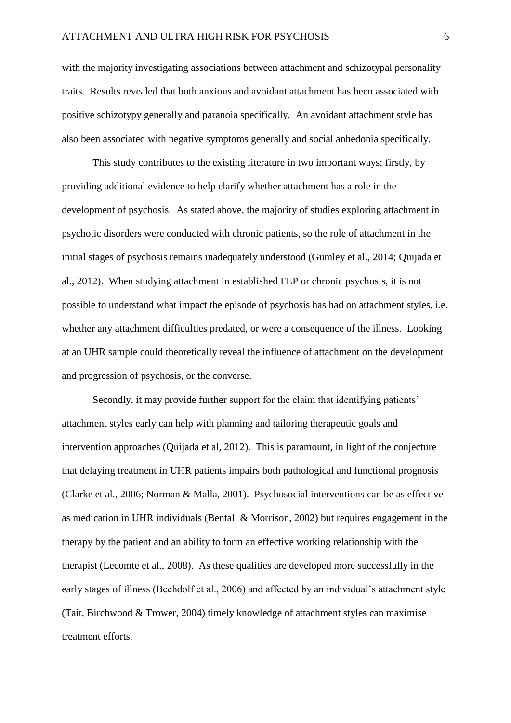with the majority investigating associations between attachment and schizotypal personality traits. Results revealed that both anxious and avoidant attachment has been associated with positive schizotypy generally and paranoia specifically. An avoidant attachment style has also been associated with negative symptoms generally and social anhedonia specifically.

This study contributes to the existing literature in two important ways; firstly, by providing additional evidence to help clarify whether attachment has a role in the development of psychosis. As stated above, the majority of studies exploring attachment in psychotic disorders were conducted with chronic patients, so the role of attachment in the initial stages of psychosis remains inadequately understood (Gumley et al., 2014; Quijada et al., 2012). When studying attachment in established FEP or chronic psychosis, it is not possible to understand what impact the episode of psychosis has had on attachment styles, i.e. whether any attachment difficulties predated, or were a consequence of the illness. Looking at an UHR sample could theoretically reveal the influence of attachment on the development and progression of psychosis, or the converse.

Secondly, it may provide further support for the claim that identifying patients' attachment styles early can help with planning and tailoring therapeutic goals and intervention approaches (Quijada et al, 2012). This is paramount, in light of the conjecture that delaying treatment in UHR patients impairs both pathological and functional prognosis (Clarke et al., 2006; Norman & Malla, 2001). Psychosocial interventions can be as effective as medication in UHR individuals (Bentall & Morrison, 2002) but requires engagement in the therapy by the patient and an ability to form an effective working relationship with the therapist (Lecomte et al., 2008). As these qualities are developed more successfully in the early stages of illness (Bechdolf et al., 2006) and affected by an individual's attachment style (Tait, Birchwood & Trower, 2004) timely knowledge of attachment styles can maximise treatment efforts.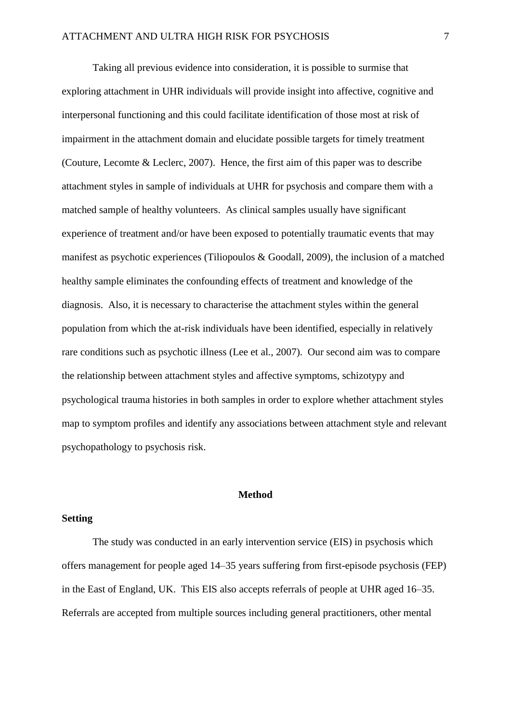Taking all previous evidence into consideration, it is possible to surmise that exploring attachment in UHR individuals will provide insight into affective, cognitive and interpersonal functioning and this could facilitate identification of those most at risk of impairment in the attachment domain and elucidate possible targets for timely treatment (Couture, Lecomte & Leclerc, 2007). Hence, the first aim of this paper was to describe attachment styles in sample of individuals at UHR for psychosis and compare them with a matched sample of healthy volunteers. As clinical samples usually have significant experience of treatment and/or have been exposed to potentially traumatic events that may manifest as psychotic experiences (Tiliopoulos & Goodall, 2009), the inclusion of a matched healthy sample eliminates the confounding effects of treatment and knowledge of the diagnosis. Also, it is necessary to characterise the attachment styles within the general population from which the at-risk individuals have been identified, especially in relatively rare conditions such as psychotic illness (Lee et al., 2007). Our second aim was to compare the relationship between attachment styles and affective symptoms, schizotypy and psychological trauma histories in both samples in order to explore whether attachment styles map to symptom profiles and identify any associations between attachment style and relevant psychopathology to psychosis risk.

# **Method**

## **Setting**

The study was conducted in an early intervention service (EIS) in psychosis which offers management for people aged 14–35 years suffering from first-episode psychosis (FEP) in the East of England, UK. This EIS also accepts referrals of people at UHR aged 16–35. Referrals are accepted from multiple sources including general practitioners, other mental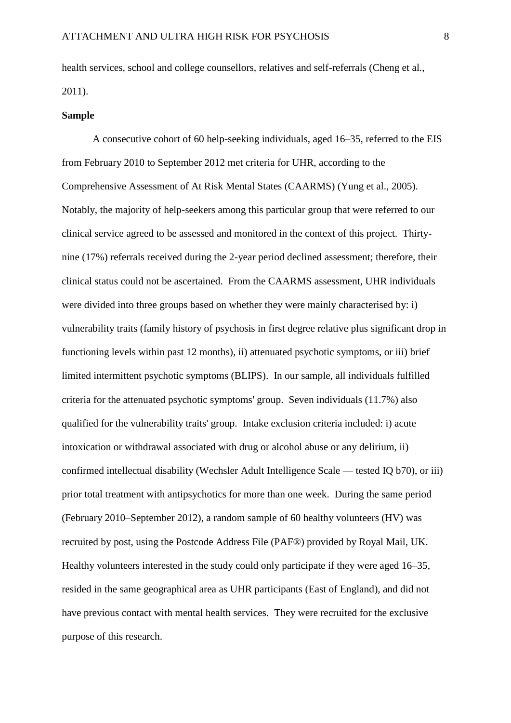health services, school and college counsellors, relatives and self-referrals (Cheng et al., 2011).

#### **Sample**

A consecutive cohort of 60 help-seeking individuals, aged 16–35, referred to the EIS from February 2010 to September 2012 met criteria for UHR, according to the Comprehensive Assessment of At Risk Mental States (CAARMS) (Yung et al., 2005). Notably, the majority of help-seekers among this particular group that were referred to our clinical service agreed to be assessed and monitored in the context of this project. Thirtynine (17%) referrals received during the 2-year period declined assessment; therefore, their clinical status could not be ascertained. From the CAARMS assessment, UHR individuals were divided into three groups based on whether they were mainly characterised by: i) vulnerability traits (family history of psychosis in first degree relative plus significant drop in functioning levels within past 12 months), ii) attenuated psychotic symptoms, or iii) brief limited intermittent psychotic symptoms (BLIPS). In our sample, all individuals fulfilled criteria for the attenuated psychotic symptoms' group. Seven individuals (11.7%) also qualified for the vulnerability traits' group. Intake exclusion criteria included: i) acute intoxication or withdrawal associated with drug or alcohol abuse or any delirium, ii) confirmed intellectual disability (Wechsler Adult Intelligence Scale — tested IQ b70), or iii) prior total treatment with antipsychotics for more than one week. During the same period (February 2010–September 2012), a random sample of 60 healthy volunteers (HV) was recruited by post, using the Postcode Address File (PAF®) provided by Royal Mail, UK. Healthy volunteers interested in the study could only participate if they were aged 16–35, resided in the same geographical area as UHR participants (East of England), and did not have previous contact with mental health services. They were recruited for the exclusive purpose of this research.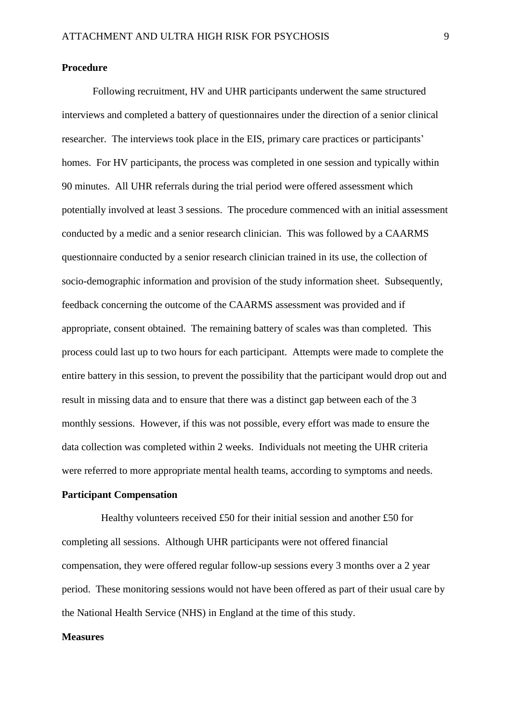#### **Procedure**

Following recruitment, HV and UHR participants underwent the same structured interviews and completed a battery of questionnaires under the direction of a senior clinical researcher. The interviews took place in the EIS, primary care practices or participants' homes. For HV participants, the process was completed in one session and typically within 90 minutes. All UHR referrals during the trial period were offered assessment which potentially involved at least 3 sessions. The procedure commenced with an initial assessment conducted by a medic and a senior research clinician. This was followed by a CAARMS questionnaire conducted by a senior research clinician trained in its use, the collection of socio-demographic information and provision of the study information sheet. Subsequently, feedback concerning the outcome of the CAARMS assessment was provided and if appropriate, consent obtained. The remaining battery of scales was than completed. This process could last up to two hours for each participant. Attempts were made to complete the entire battery in this session, to prevent the possibility that the participant would drop out and result in missing data and to ensure that there was a distinct gap between each of the 3 monthly sessions. However, if this was not possible, every effort was made to ensure the data collection was completed within 2 weeks. Individuals not meeting the UHR criteria were referred to more appropriate mental health teams, according to symptoms and needs.

## **Participant Compensation**

Healthy volunteers received £50 for their initial session and another £50 for completing all sessions. Although UHR participants were not offered financial compensation, they were offered regular follow-up sessions every 3 months over a 2 year period. These monitoring sessions would not have been offered as part of their usual care by the National Health Service (NHS) in England at the time of this study.

# **Measures**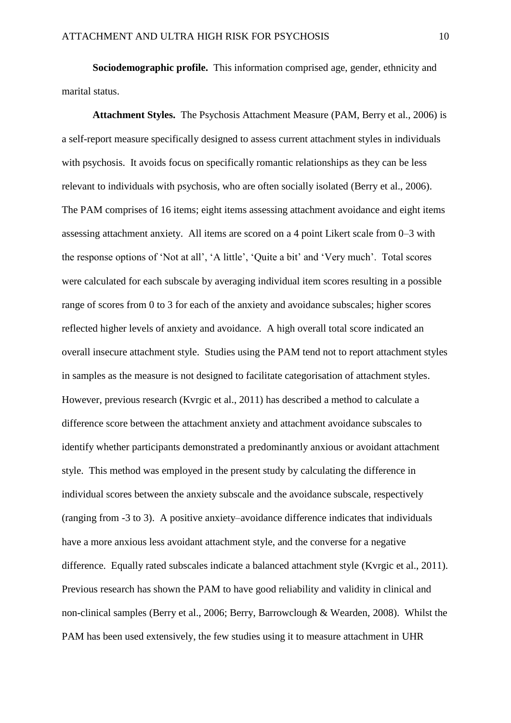**Sociodemographic profile.** This information comprised age, gender, ethnicity and marital status.

**Attachment Styles.** The Psychosis Attachment Measure (PAM, Berry et al., 2006) is a self-report measure specifically designed to assess current attachment styles in individuals with psychosis. It avoids focus on specifically romantic relationships as they can be less relevant to individuals with psychosis, who are often socially isolated (Berry et al., 2006). The PAM comprises of 16 items; eight items assessing attachment avoidance and eight items assessing attachment anxiety. All items are scored on a 4 point Likert scale from 0–3 with the response options of 'Not at all', 'A little', 'Quite a bit' and 'Very much'. Total scores were calculated for each subscale by averaging individual item scores resulting in a possible range of scores from 0 to 3 for each of the anxiety and avoidance subscales; higher scores reflected higher levels of anxiety and avoidance. A high overall total score indicated an overall insecure attachment style.Studies using the PAM tend not to report attachment styles in samples as the measure is not designed to facilitate categorisation of attachment styles. However, previous research (Kvrgic et al., 2011) has described a method to calculate a difference score between the attachment anxiety and attachment avoidance subscales to identify whether participants demonstrated a predominantly anxious or avoidant attachment style. This method was employed in the present study by calculating the difference in individual scores between the anxiety subscale and the avoidance subscale, respectively (ranging from -3 to 3). A positive anxiety–avoidance difference indicates that individuals have a more anxious less avoidant attachment style, and the converse for a negative difference. Equally rated subscales indicate a balanced attachment style (Kvrgic et al., 2011). Previous research has shown the PAM to have good reliability and validity in clinical and non-clinical samples (Berry et al., 2006; Berry, Barrowclough & Wearden, 2008). Whilst the PAM has been used extensively, the few studies using it to measure attachment in UHR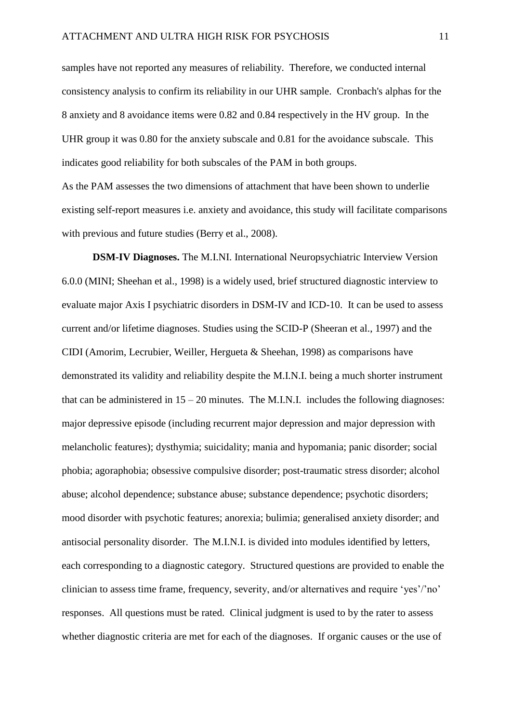samples have not reported any measures of reliability. Therefore, we conducted internal consistency analysis to confirm its reliability in our UHR sample. Cronbach's alphas for the 8 anxiety and 8 avoidance items were 0.82 and 0.84 respectively in the HV group. In the UHR group it was 0.80 for the anxiety subscale and 0.81 for the avoidance subscale. This indicates good reliability for both subscales of the PAM in both groups.

As the PAM assesses the two dimensions of attachment that have been shown to underlie existing self-report measures i.e. anxiety and avoidance, this study will facilitate comparisons with previous and future studies (Berry et al., 2008).

**DSM-IV Diagnoses.** The M.I.NI. International Neuropsychiatric Interview Version 6.0.0 (MINI; Sheehan et al., 1998) is a widely used, brief structured diagnostic interview to evaluate major Axis I psychiatric disorders in DSM-IV and ICD-10. It can be used to assess current and/or lifetime diagnoses. Studies using the SCID-P (Sheeran et al., 1997) and the CIDI (Amorim, Lecrubier, Weiller, Hergueta & Sheehan, 1998) as comparisons have demonstrated its validity and reliability despite the M.I.N.I. being a much shorter instrument that can be administered in  $15 - 20$  minutes. The M.I.N.I. includes the following diagnoses: major depressive episode (including recurrent major depression and major depression with melancholic features); dysthymia; suicidality; mania and hypomania; panic disorder; social phobia; agoraphobia; obsessive compulsive disorder; post-traumatic stress disorder; alcohol abuse; alcohol dependence; substance abuse; substance dependence; psychotic disorders; mood disorder with psychotic features; anorexia; bulimia; generalised anxiety disorder; and antisocial personality disorder. The M.I.N.I. is divided into modules identified by letters, each corresponding to a diagnostic category. Structured questions are provided to enable the clinician to assess time frame, frequency, severity, and/or alternatives and require 'yes'/'no' responses. All questions must be rated. Clinical judgment is used to by the rater to assess whether diagnostic criteria are met for each of the diagnoses. If organic causes or the use of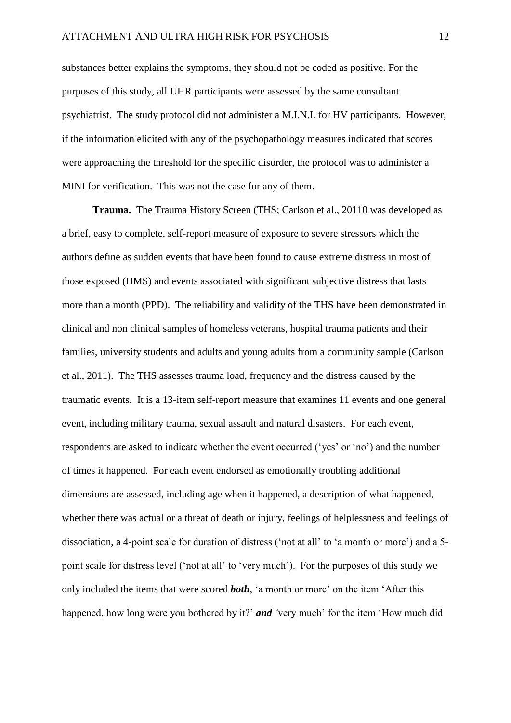substances better explains the symptoms, they should not be coded as positive. For the purposes of this study, all UHR participants were assessed by the same consultant psychiatrist. The study protocol did not administer a M.I.N.I. for HV participants. However, if the information elicited with any of the psychopathology measures indicated that scores were approaching the threshold for the specific disorder, the protocol was to administer a MINI for verification. This was not the case for any of them.

**Trauma.** The Trauma History Screen (THS; Carlson et al., 20110 was developed as a brief, easy to complete, self-report measure of exposure to severe stressors which the authors define as sudden events that have been found to cause extreme distress in most of those exposed (HMS) and events associated with significant subjective distress that lasts more than a month (PPD). The reliability and validity of the THS have been demonstrated in clinical and non clinical samples of homeless veterans, hospital trauma patients and their families, university students and adults and young adults from a community sample (Carlson et al., 2011). The THS assesses trauma load, frequency and the distress caused by the traumatic events. It is a 13-item self-report measure that examines 11 events and one general event, including military trauma, sexual assault and natural disasters. For each event, respondents are asked to indicate whether the event occurred ('yes' or 'no') and the number of times it happened. For each event endorsed as emotionally troubling additional dimensions are assessed, including age when it happened, a description of what happened, whether there was actual or a threat of death or injury, feelings of helplessness and feelings of dissociation, a 4-point scale for duration of distress ('not at all' to 'a month or more') and a 5 point scale for distress level ('not at all' to 'very much'). For the purposes of this study we only included the items that were scored *both*, 'a month or more' on the item 'After this happened, how long were you bothered by it?' *and '*very much' for the item 'How much did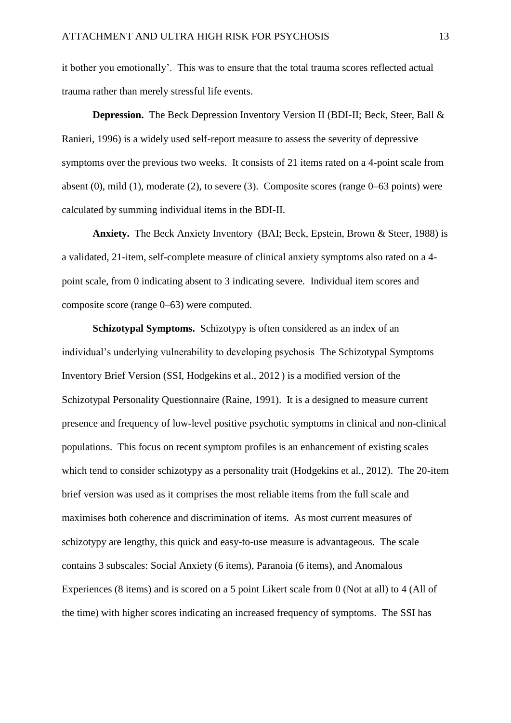it bother you emotionally'. This was to ensure that the total trauma scores reflected actual trauma rather than merely stressful life events.

**Depression.** The Beck Depression Inventory Version II (BDI-II; Beck, Steer, Ball & Ranieri, 1996) is a widely used self-report measure to assess the severity of depressive symptoms over the previous two weeks. It consists of 21 items rated on a 4-point scale from absent  $(0)$ , mild  $(1)$ , moderate  $(2)$ , to severe  $(3)$ . Composite scores (range  $0-63$  points) were calculated by summing individual items in the BDI-II.

**Anxiety.** The Beck Anxiety Inventory(BAI; Beck, Epstein, Brown & Steer, 1988) is a validated, 21-item, self-complete measure of clinical anxiety symptoms also rated on a 4 point scale, from 0 indicating absent to 3 indicating severe. Individual item scores and composite score (range 0–63) were computed.

**Schizotypal Symptoms.** Schizotypy is often considered as an index of an individual's underlying vulnerability to developing psychosis The Schizotypal Symptoms Inventory Brief Version (SSI, Hodgekins et al., 2012 ) is a modified version of the Schizotypal Personality Questionnaire (Raine, 1991). It is a designed to measure current presence and frequency of low-level positive psychotic symptoms in clinical and non-clinical populations. This focus on recent symptom profiles is an enhancement of existing scales which tend to consider schizotypy as a personality trait (Hodgekins et al., 2012). The 20-item brief version was used as it comprises the most reliable items from the full scale and maximises both coherence and discrimination of items. As most current measures of schizotypy are lengthy, this quick and easy-to-use measure is advantageous. The scale contains 3 subscales: Social Anxiety (6 items), Paranoia (6 items), and Anomalous Experiences (8 items) and is scored on a 5 point Likert scale from 0 (Not at all) to 4 (All of the time) with higher scores indicating an increased frequency of symptoms. The SSI has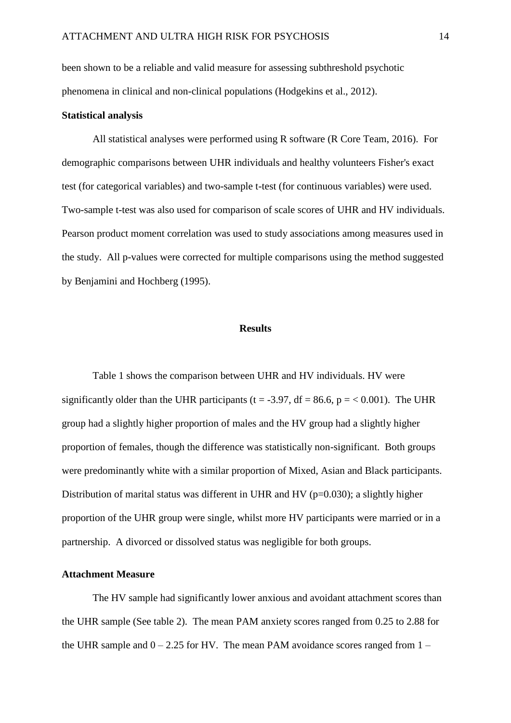been shown to be a reliable and valid measure for assessing subthreshold psychotic phenomena in clinical and non-clinical populations (Hodgekins et al., 2012).

#### **Statistical analysis**

All statistical analyses were performed using R software (R Core Team, 2016). For demographic comparisons between UHR individuals and healthy volunteers Fisher's exact test (for categorical variables) and two-sample t-test (for continuous variables) were used. Two-sample t-test was also used for comparison of scale scores of UHR and HV individuals. Pearson product moment correlation was used to study associations among measures used in the study. All p-values were corrected for multiple comparisons using the method suggested by Benjamini and Hochberg (1995).

# **Results**

Table 1 shows the comparison between UHR and HV individuals. HV were significantly older than the UHR participants (t = -3.97, df = 86.6, p =  $< 0.001$ ). The UHR group had a slightly higher proportion of males and the HV group had a slightly higher proportion of females, though the difference was statistically non-significant. Both groups were predominantly white with a similar proportion of Mixed, Asian and Black participants. Distribution of marital status was different in UHR and HV ( $p=0.030$ ); a slightly higher proportion of the UHR group were single, whilst more HV participants were married or in a partnership. A divorced or dissolved status was negligible for both groups.

## **Attachment Measure**

The HV sample had significantly lower anxious and avoidant attachment scores than the UHR sample (See table 2). The mean PAM anxiety scores ranged from 0.25 to 2.88 for the UHR sample and  $0 - 2.25$  for HV. The mean PAM avoidance scores ranged from  $1 -$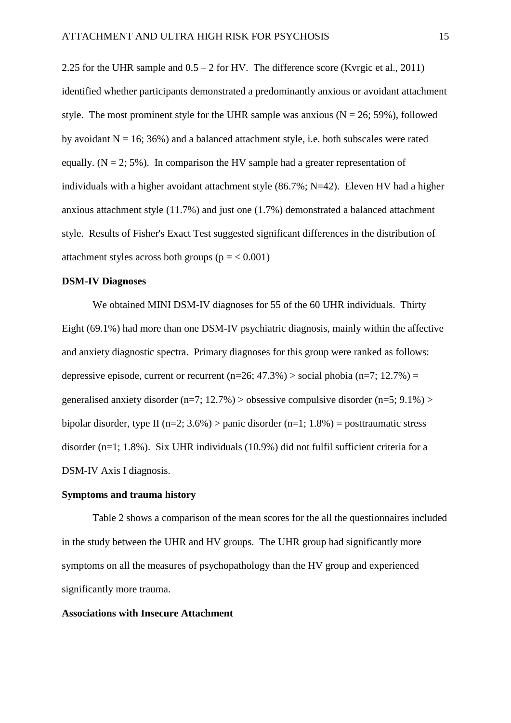2.25 for the UHR sample and  $0.5 - 2$  for HV. The difference score (Kvrgic et al., 2011) identified whether participants demonstrated a predominantly anxious or avoidant attachment style. The most prominent style for the UHR sample was anxious ( $N = 26$ ; 59%), followed by avoidant  $N = 16$ ; 36%) and a balanced attachment style, i.e. both subscales were rated equally.  $(N = 2, 5\%)$ . In comparison the HV sample had a greater representation of individuals with a higher avoidant attachment style (86.7%; N=42). Eleven HV had a higher anxious attachment style (11.7%) and just one (1.7%) demonstrated a balanced attachment style. Results of Fisher's Exact Test suggested significant differences in the distribution of attachment styles across both groups ( $p = < 0.001$ )

# **DSM-IV Diagnoses**

We obtained MINI DSM-IV diagnoses for 55 of the 60 UHR individuals. Thirty Eight (69.1%) had more than one DSM-IV psychiatric diagnosis, mainly within the affective and anxiety diagnostic spectra. Primary diagnoses for this group were ranked as follows: depressive episode, current or recurrent  $(n=26; 47.3\%)$  > social phobia  $(n=7; 12.7\%)$  = generalised anxiety disorder (n=7; 12.7%) > obsessive compulsive disorder (n=5; 9.1%) > bipolar disorder, type II (n=2;  $3.6\%$ ) > panic disorder (n=1; 1.8%) = posttraumatic stress disorder (n=1; 1.8%). Six UHR individuals (10.9%) did not fulfil sufficient criteria for a DSM-IV Axis I diagnosis.

# **Symptoms and trauma history**

Table 2 shows a comparison of the mean scores for the all the questionnaires included in the study between the UHR and HV groups. The UHR group had significantly more symptoms on all the measures of psychopathology than the HV group and experienced significantly more trauma.

#### **Associations with Insecure Attachment**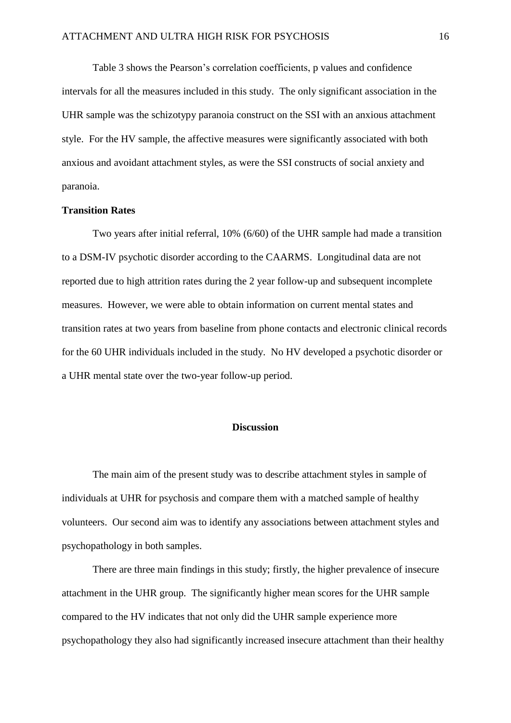Table 3 shows the Pearson's correlation coefficients, p values and confidence intervals for all the measures included in this study. The only significant association in the UHR sample was the schizotypy paranoia construct on the SSI with an anxious attachment style. For the HV sample, the affective measures were significantly associated with both anxious and avoidant attachment styles, as were the SSI constructs of social anxiety and paranoia.

#### **Transition Rates**

Two years after initial referral, 10% (6/60) of the UHR sample had made a transition to a DSM-IV psychotic disorder according to the CAARMS. Longitudinal data are not reported due to high attrition rates during the 2 year follow-up and subsequent incomplete measures. However, we were able to obtain information on current mental states and transition rates at two years from baseline from phone contacts and electronic clinical records for the 60 UHR individuals included in the study. No HV developed a psychotic disorder or a UHR mental state over the two-year follow-up period.

# **Discussion**

The main aim of the present study was to describe attachment styles in sample of individuals at UHR for psychosis and compare them with a matched sample of healthy volunteers. Our second aim was to identify any associations between attachment styles and psychopathology in both samples.

There are three main findings in this study; firstly, the higher prevalence of insecure attachment in the UHR group. The significantly higher mean scores for the UHR sample compared to the HV indicates that not only did the UHR sample experience more psychopathology they also had significantly increased insecure attachment than their healthy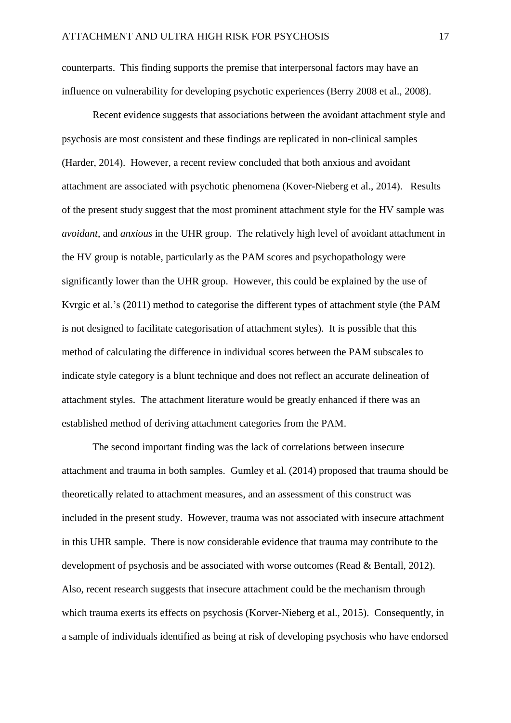counterparts. This finding supports the premise that interpersonal factors may have an influence on vulnerability for developing psychotic experiences (Berry 2008 et al., 2008).

Recent evidence suggests that associations between the avoidant attachment style and psychosis are most consistent and these findings are replicated in non-clinical samples (Harder, 2014). However, a recent review concluded that both anxious and avoidant attachment are associated with psychotic phenomena (Kover-Nieberg et al., 2014). Results of the present study suggest that the most prominent attachment style for the HV sample was *avoidant*, and *anxious* in the UHR group. The relatively high level of avoidant attachment in the HV group is notable, particularly as the PAM scores and psychopathology were significantly lower than the UHR group. However, this could be explained by the use of Kvrgic et al.'s (2011) method to categorise the different types of attachment style (the PAM is not designed to facilitate categorisation of attachment styles). It is possible that this method of calculating the difference in individual scores between the PAM subscales to indicate style category is a blunt technique and does not reflect an accurate delineation of attachment styles. The attachment literature would be greatly enhanced if there was an established method of deriving attachment categories from the PAM.

The second important finding was the lack of correlations between insecure attachment and trauma in both samples. Gumley et al. (2014) proposed that trauma should be theoretically related to attachment measures, and an assessment of this construct was included in the present study. However, trauma was not associated with insecure attachment in this UHR sample. There is now considerable evidence that trauma may contribute to the development of psychosis and be associated with worse outcomes (Read & Bentall, 2012). Also, recent research suggests that insecure attachment could be the mechanism through which trauma exerts its effects on psychosis (Korver-Nieberg et al., 2015). Consequently, in a sample of individuals identified as being at risk of developing psychosis who have endorsed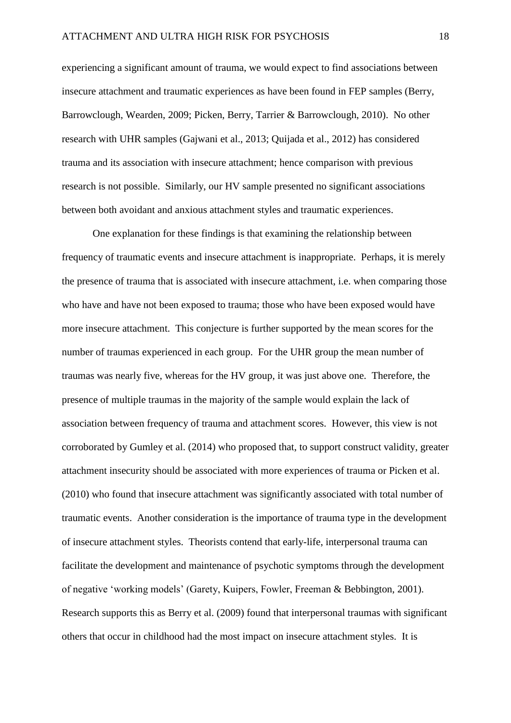experiencing a significant amount of trauma, we would expect to find associations between insecure attachment and traumatic experiences as have been found in FEP samples (Berry, Barrowclough, Wearden, 2009; Picken, Berry, Tarrier & Barrowclough, 2010). No other research with UHR samples (Gajwani et al., 2013; Quijada et al., 2012) has considered trauma and its association with insecure attachment; hence comparison with previous research is not possible. Similarly, our HV sample presented no significant associations between both avoidant and anxious attachment styles and traumatic experiences.

One explanation for these findings is that examining the relationship between frequency of traumatic events and insecure attachment is inappropriate. Perhaps, it is merely the presence of trauma that is associated with insecure attachment, i.e. when comparing those who have and have not been exposed to trauma; those who have been exposed would have more insecure attachment. This conjecture is further supported by the mean scores for the number of traumas experienced in each group. For the UHR group the mean number of traumas was nearly five, whereas for the HV group, it was just above one. Therefore, the presence of multiple traumas in the majority of the sample would explain the lack of association between frequency of trauma and attachment scores. However, this view is not corroborated by Gumley et al. (2014) who proposed that, to support construct validity, greater attachment insecurity should be associated with more experiences of trauma or Picken et al. (2010) who found that insecure attachment was significantly associated with total number of traumatic events. Another consideration is the importance of trauma type in the development of insecure attachment styles. Theorists contend that early-life, interpersonal trauma can facilitate the development and maintenance of psychotic symptoms through the development of negative 'working models' (Garety, Kuipers, Fowler, Freeman & Bebbington, 2001). Research supports this as Berry et al. (2009) found that interpersonal traumas with significant others that occur in childhood had the most impact on insecure attachment styles. It is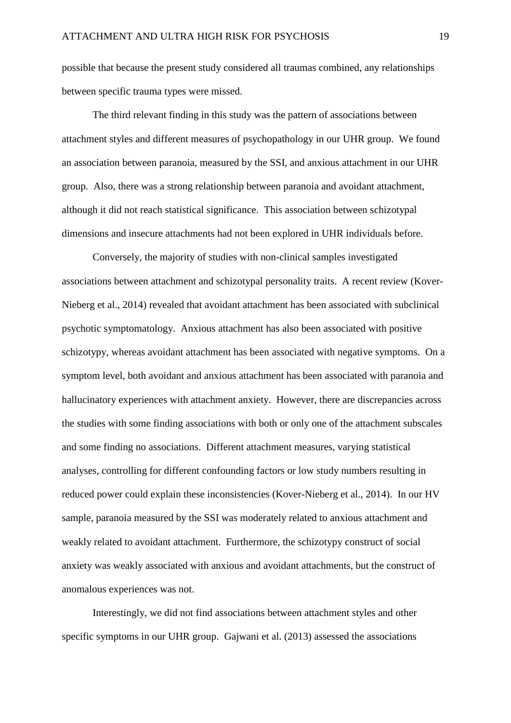possible that because the present study considered all traumas combined, any relationships between specific trauma types were missed.

The third relevant finding in this study was the pattern of associations between attachment styles and different measures of psychopathology in our UHR group. We found an association between paranoia, measured by the SSI, and anxious attachment in our UHR group. Also, there was a strong relationship between paranoia and avoidant attachment, although it did not reach statistical significance. This association between schizotypal dimensions and insecure attachments had not been explored in UHR individuals before.

Conversely, the majority of studies with non-clinical samples investigated associations between attachment and schizotypal personality traits. A recent review (Kover-Nieberg et al., 2014) revealed that avoidant attachment has been associated with subclinical psychotic symptomatology. Anxious attachment has also been associated with positive schizotypy, whereas avoidant attachment has been associated with negative symptoms. On a symptom level, both avoidant and anxious attachment has been associated with paranoia and hallucinatory experiences with attachment anxiety. However, there are discrepancies across the studies with some finding associations with both or only one of the attachment subscales and some finding no associations. Different attachment measures, varying statistical analyses, controlling for different confounding factors or low study numbers resulting in reduced power could explain these inconsistencies (Kover-Nieberg et al., 2014). In our HV sample, paranoia measured by the SSI was moderately related to anxious attachment and weakly related to avoidant attachment. Furthermore, the schizotypy construct of social anxiety was weakly associated with anxious and avoidant attachments, but the construct of anomalous experiences was not.

Interestingly, we did not find associations between attachment styles and other specific symptoms in our UHR group. Gajwani et al. (2013) assessed the associations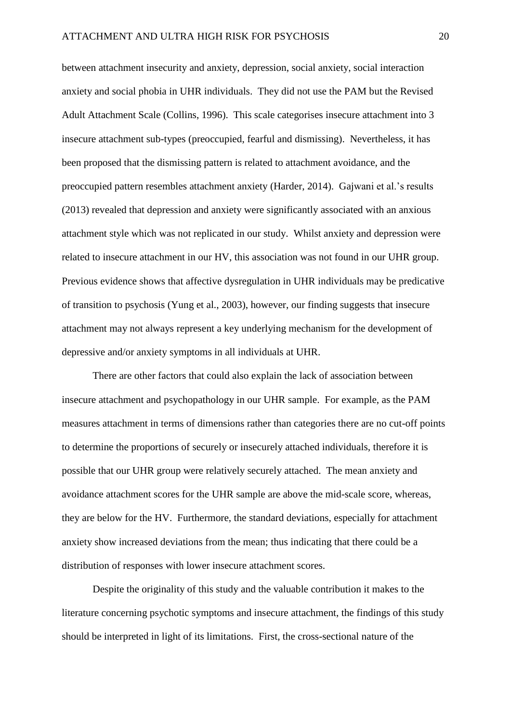between attachment insecurity and anxiety, depression, social anxiety, social interaction anxiety and social phobia in UHR individuals. They did not use the PAM but the Revised Adult Attachment Scale (Collins, 1996). This scale categorises insecure attachment into 3 insecure attachment sub-types (preoccupied, fearful and dismissing). Nevertheless, it has been proposed that the dismissing pattern is related to attachment avoidance, and the preoccupied pattern resembles attachment anxiety (Harder, 2014). Gajwani et al.'s results (2013) revealed that depression and anxiety were significantly associated with an anxious attachment style which was not replicated in our study. Whilst anxiety and depression were related to insecure attachment in our HV, this association was not found in our UHR group. Previous evidence shows that affective dysregulation in UHR individuals may be predicative of transition to psychosis (Yung et al., 2003), however, our finding suggests that insecure attachment may not always represent a key underlying mechanism for the development of depressive and/or anxiety symptoms in all individuals at UHR.

There are other factors that could also explain the lack of association between insecure attachment and psychopathology in our UHR sample. For example, as the PAM measures attachment in terms of dimensions rather than categories there are no cut-off points to determine the proportions of securely or insecurely attached individuals, therefore it is possible that our UHR group were relatively securely attached. The mean anxiety and avoidance attachment scores for the UHR sample are above the mid-scale score, whereas, they are below for the HV. Furthermore, the standard deviations, especially for attachment anxiety show increased deviations from the mean; thus indicating that there could be a distribution of responses with lower insecure attachment scores.

Despite the originality of this study and the valuable contribution it makes to the literature concerning psychotic symptoms and insecure attachment, the findings of this study should be interpreted in light of its limitations. First, the cross-sectional nature of the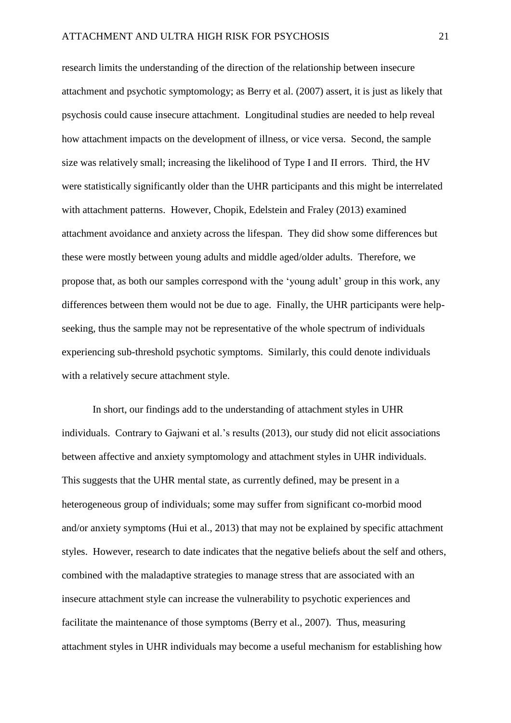research limits the understanding of the direction of the relationship between insecure attachment and psychotic symptomology; as Berry et al. (2007) assert, it is just as likely that psychosis could cause insecure attachment. Longitudinal studies are needed to help reveal how attachment impacts on the development of illness, or vice versa. Second, the sample size was relatively small; increasing the likelihood of Type I and II errors. Third, the HV were statistically significantly older than the UHR participants and this might be interrelated with attachment patterns. However, Chopik, Edelstein and Fraley (2013) examined attachment avoidance and anxiety across the lifespan. They did show some differences but these were mostly between young adults and middle aged/older adults. Therefore, we propose that, as both our samples correspond with the 'young adult' group in this work, any differences between them would not be due to age. Finally, the UHR participants were helpseeking, thus the sample may not be representative of the whole spectrum of individuals experiencing sub-threshold psychotic symptoms. Similarly, this could denote individuals with a relatively secure attachment style.

In short, our findings add to the understanding of attachment styles in UHR individuals. Contrary to Gajwani et al.'s results (2013), our study did not elicit associations between affective and anxiety symptomology and attachment styles in UHR individuals. This suggests that the UHR mental state, as currently defined, may be present in a heterogeneous group of individuals; some may suffer from significant co-morbid mood and/or anxiety symptoms (Hui et al., 2013) that may not be explained by specific attachment styles. However, research to date indicates that the negative beliefs about the self and others, combined with the maladaptive strategies to manage stress that are associated with an insecure attachment style can increase the vulnerability to psychotic experiences and facilitate the maintenance of those symptoms (Berry et al., 2007). Thus, measuring attachment styles in UHR individuals may become a useful mechanism for establishing how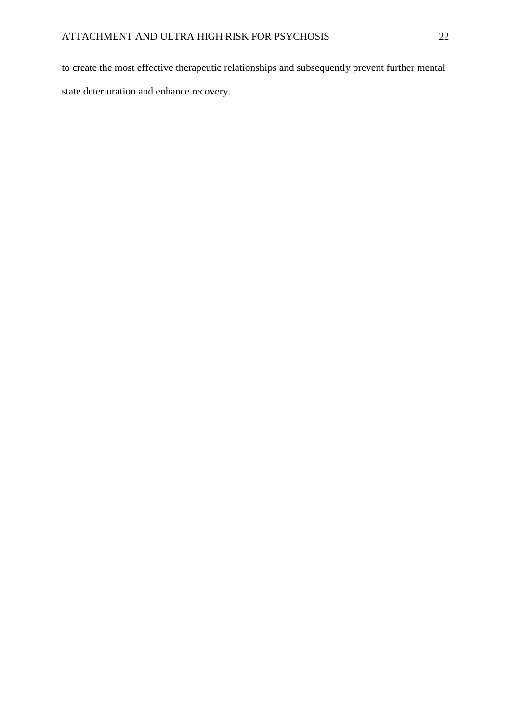to create the most effective therapeutic relationships and subsequently prevent further mental state deterioration and enhance recovery.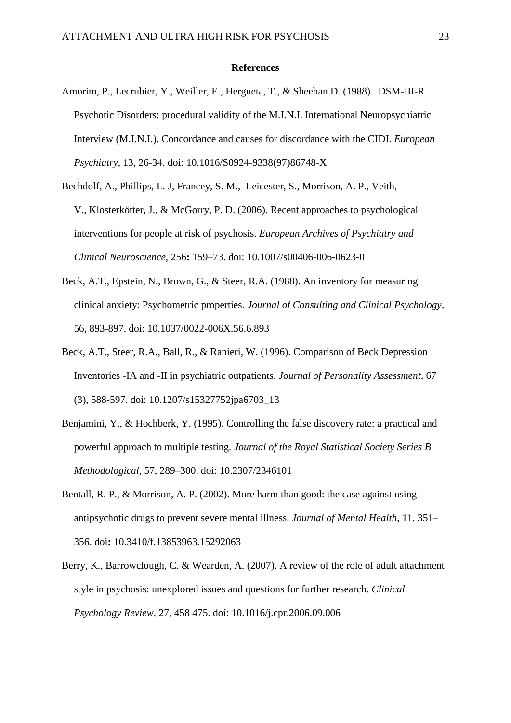#### **References**

- Amorim, P., Lecrubier, Y., Weiller, E., Hergueta, T., & Sheehan D. (1988). DSM-III-R Psychotic Disorders: procedural validity of the M.I.N.I. International Neuropsychiatric Interview (M.I.N.I.). Concordance and causes for discordance with the CIDI. *European Psychiatry*, 13, 26-34. doi: 10.1016/S0924-9338(97)86748-X
- Bechdolf, A., Phillips, L. J, Francey, S. M., [Leicester, S.](https://www.ncbi.nlm.nih.gov/pubmed/?term=Leicester%20S%5BAuthor%5D&cauthor=true&cauthor_uid=16639521), [Morrison, A. P.](https://www.ncbi.nlm.nih.gov/pubmed/?term=Morrison%20AP%5BAuthor%5D&cauthor=true&cauthor_uid=16639521), [Veith,](https://www.ncbi.nlm.nih.gov/pubmed/?term=Veith%20V%5BAuthor%5D&cauthor=true&cauthor_uid=16639521)  [V.](https://www.ncbi.nlm.nih.gov/pubmed/?term=Veith%20V%5BAuthor%5D&cauthor=true&cauthor_uid=16639521), [Klosterkötter, J.](https://www.ncbi.nlm.nih.gov/pubmed/?term=Klosterk%C3%B6tter%20J%5BAuthor%5D&cauthor=true&cauthor_uid=16639521), & [McGorry, P. D.](https://www.ncbi.nlm.nih.gov/pubmed/?term=McGorry%20PD%5BAuthor%5D&cauthor=true&cauthor_uid=16639521) (2006). Recent approaches to psychological interventions for people at risk of psychosis. *European Archives of Psychiatry and Clinical Neuroscience,* 256**:** 159–73. doi: 10.1007/s00406-006-0623-0
- Beck, A.T., Epstein, N., Brown, G., & Steer, R.A. (1988). An inventory for measuring clinical anxiety: Psychometric properties. *Journal of Consulting and Clinical Psychology*, 56, 893-897. doi: 10.1037/0022-006X.56.6.893
- Beck, A.T., Steer, R.A., Ball, R., & Ranieri, W. (1996). Comparison of Beck Depression Inventories -IA and -II in psychiatric outpatients. *Journal of Personality Assessment*, 67 (3), 588-597. doi: 10.1207/s15327752jpa6703\_13
- Benjamini, Y., & Hochberk, Y. (1995). Controlling the false discovery rate: a practical and powerful approach to multiple testing. *Journal of the Royal Statistical Society Series B Methodological*, 57, 289–300. doi: 10.2307/2346101
- Bentall, R. P., & Morrison, A. P. (2002). More harm than good: the case against using antipsychotic drugs to prevent severe mental illness. *Journal of Mental Health*, 11, 351– 356. doi**:** 10.3410/f.13853963.15292063
- Berry, K., Barrowclough, C. & Wearden, A. (2007). A review of the role of adult attachment style in psychosis: unexplored issues and questions for further research. *Clinical Psychology Review,* 27, 458 475. doi: 10.1016/j.cpr.2006.09.006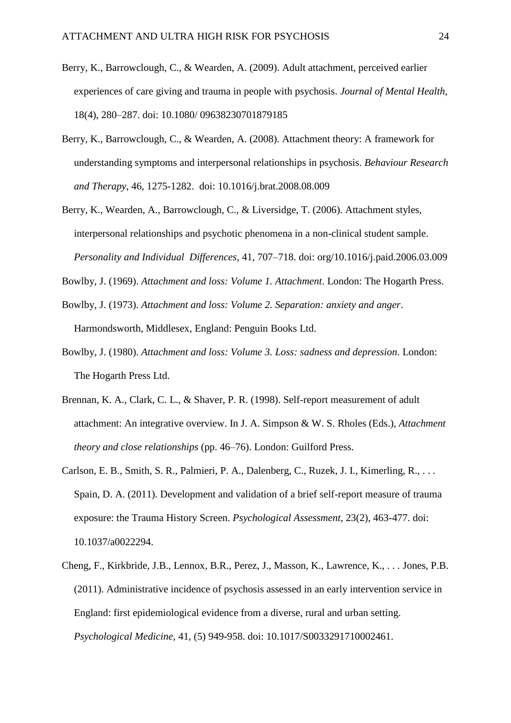- Berry, K., Barrowclough, C., & Wearden, A. (2009). Adult attachment, perceived earlier experiences of care giving and trauma in people with psychosis. *Journal of Mental Health*, 18(4), 280–287. doi: 10.1080/ 09638230701879185
- Berry, K., Barrowclough, C., & Wearden, A. (2008). Attachment theory: A framework for understanding symptoms and interpersonal relationships in psychosis. *Behaviour Research and Therapy*, 46, 1275-1282. doi: 10.1016/j.brat.2008.08.009
- Berry, K., Wearden, A., Barrowclough, C., & Liversidge, T. (2006). Attachment styles, interpersonal relationships and psychotic phenomena in a non-clinical student sample. *Personality and Individual Differences*, 41, 707–718. doi: org/10.1016/j.paid.2006.03.009
- Bowlby, J. (1969). *Attachment and loss: Volume 1. Attachment*. London: The Hogarth Press.
- Bowlby, J. (1973). *Attachment and loss: Volume 2. Separation: anxiety and anger*. Harmondsworth, Middlesex, England: Penguin Books Ltd.
- Bowlby, J. (1980). *Attachment and loss: Volume 3. Loss: sadness and depression*. London: The Hogarth Press Ltd.
- Brennan, K. A., Clark, C. L., & Shaver, P. R. (1998). Self-report measurement of adult attachment: An integrative overview. In J. A. Simpson & W. S. Rholes (Eds.), *Attachment theory and close relationships* (pp. 46–76). London: Guilford Press.
- Carlson, E. B., Smith, S. R., Palmieri, P. A., Dalenberg, C., Ruzek, J. I., Kimerling, R., . . . Spain, D. A. (2011). Development and validation of a brief self-report measure of trauma exposure: the Trauma History Screen. *Psychological Assessment*, 23(2), 463-477. doi: 10.1037/a0022294.
- Cheng, F., Kirkbride, J.B., Lennox, B.R., Perez, J., Masson, K., Lawrence, K., . . . Jones, P.B. (2011). Administrative incidence of psychosis assessed in an early intervention service in England: first epidemiological evidence from a diverse, rural and urban setting. *Psychological Medicine*, 41, (5) 949-958. doi: 10.1017/S0033291710002461.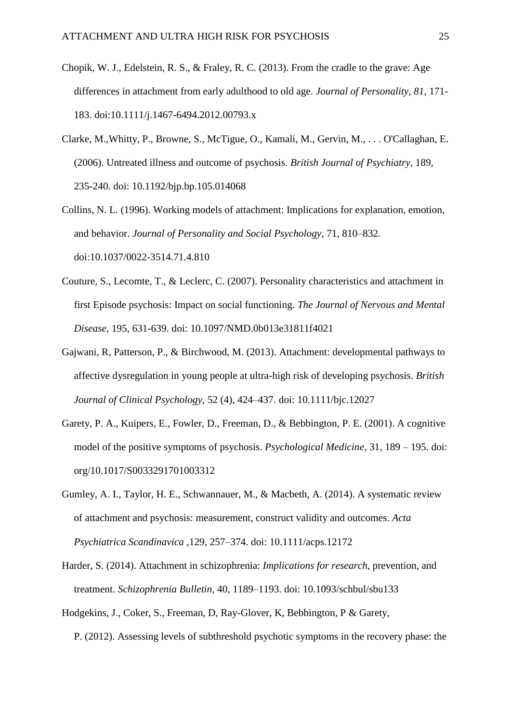- Chopik, W. J., Edelstein, R. S., & Fraley, R. C. (2013). From the cradle to the grave: Age differences in attachment from early adulthood to old age. *Journal of Personality, 81*, 171- 183. doi:10.1111/j.1467-6494.2012.00793.x
- Clarke, M.,Whitty, P., Browne, S., McTigue, O., Kamali, M., Gervin, M., . . . O'Callaghan, E. (2006). Untreated illness and outcome of psychosis. *British Journal of Psychiatry*, 189, 235-240. doi: 10.1192/bjp.bp.105.014068
- Collins, N. L. (1996). Working models of attachment: Implications for explanation, emotion, and behavior. *Journal of Personality and Social Psychology*, 71, 810–832. doi:10.1037/0022-3514.71.4.810
- Couture, S., Lecomte, T., & Leclerc, C. (2007). Personality characteristics and attachment in first Episode psychosis: Impact on social functioning. *The Journal of Nervous and Mental Disease*, 195, 631-639. doi: 10.1097/NMD.0b013e31811f4021
- Gajwani, R, Patterson, P., & Birchwood, M. (2013). Attachment: developmental pathways to affective dysregulation in young people at ultra-high risk of developing psychosis. *British Journal of Clinical Psychology*, 52 (4), 424–437. doi: 10.1111/bjc.12027
- Garety, P. A., Kuipers, E., Fowler, D., Freeman, D., & Bebbington, P. E. (2001). A cognitive model of the positive symptoms of psychosis. *Psychological Medicine*, 31, 189 – 195. doi: org/10.1017/S0033291701003312
- Gumley, A. I., Taylor, H. E., Schwannauer, M., & Macbeth, A. (2014). A systematic review of attachment and psychosis: measurement, construct validity and outcomes. *Acta Psychiatrica Scandinavica* ,129, 257–374. doi: 10.1111/acps.12172
- Harder, S. (2014). Attachment in schizophrenia: *Implications for research*, prevention, and treatment. *Schizophrenia Bulletin,* 40, 1189–1193. doi: 10.1093/schbul/sbu133
- Hodgekins, J., Coker, S., Freeman, D, Ray-Glover, K, Bebbington, P & Garety, P. (2012). Assessing levels of subthreshold psychotic symptoms in the recovery phase: the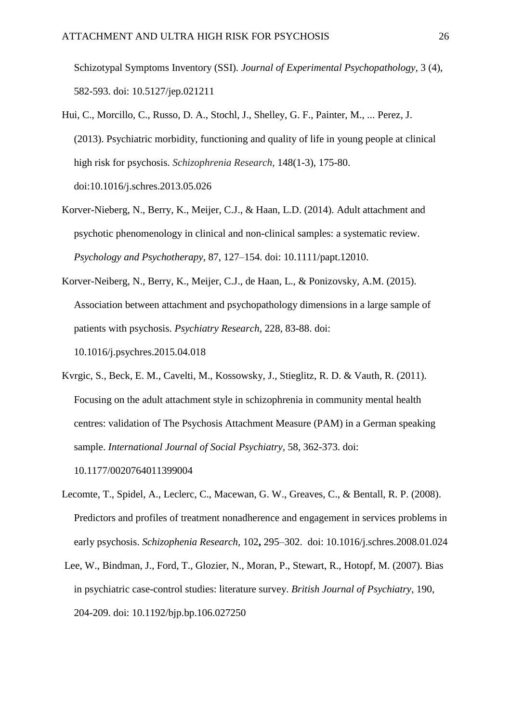Schizotypal Symptoms Inventory (SSI). *Journal of Experimental Psychopathology*, 3 (4), 582-593. doi: 10.5127/jep.021211

- Hui, C., Morcillo, C., Russo, D. A., Stochl, J., Shelley, G. F., Painter, M., ... Perez, J. (2013). Psychiatric morbidity, functioning and quality of life in young people at clinical high risk for psychosis. *Schizophrenia Research*, 148(1-3), 175-80. doi[:10.1016/j.schres.2013.05.026](http://dx.doi.org/10.1016/j.schres.2013.05.026)
- Korver-Nieberg, N., Berry, K., Meijer, C.J., & Haan, L.D. (2014). Adult attachment and psychotic phenomenology in clinical and non-clinical samples: a systematic review. *Psychology and Psychotherapy*, 87, 127–154. doi: 10.1111/papt.12010.
- Korver-Neiberg, N., Berry, K., Meijer, C.J., de Haan, L., & Ponizovsky, A.M. (2015). Association between attachment and psychopathology dimensions in a large sample of patients with psychosis. *Psychiatry Research*, 228, 83-88. doi: 10.1016/j.psychres.2015.04.018
- Kvrgic, S., Beck, E. M., Cavelti, M., Kossowsky, J., Stieglitz, R. D. & Vauth, R. (2011). Focusing on the adult attachment style in schizophrenia in community mental health centres: validation of The Psychosis Attachment Measure (PAM) in a German speaking sample. *International Journal of Social Psychiatry*, 58, 362-373. doi: 10.1177/0020764011399004
- Lecomte, T., Spidel, A., Leclerc, C., Macewan, G. W., Greaves, C., & Bentall, R. P. (2008). Predictors and profiles of treatment nonadherence and engagement in services problems in early psychosis. *Schizophenia Research,* 102**,** 295–302. doi: 10.1016/j.schres.2008.01.024
- Lee, W., Bindman, J., Ford, T., Glozier, N., Moran, P., Stewart, R., Hotopf, M. (2007). Bias in psychiatric case-control studies: literature survey. *British Journal of Psychiatry*, 190, 204-209. doi: 10.1192/bjp.bp.106.027250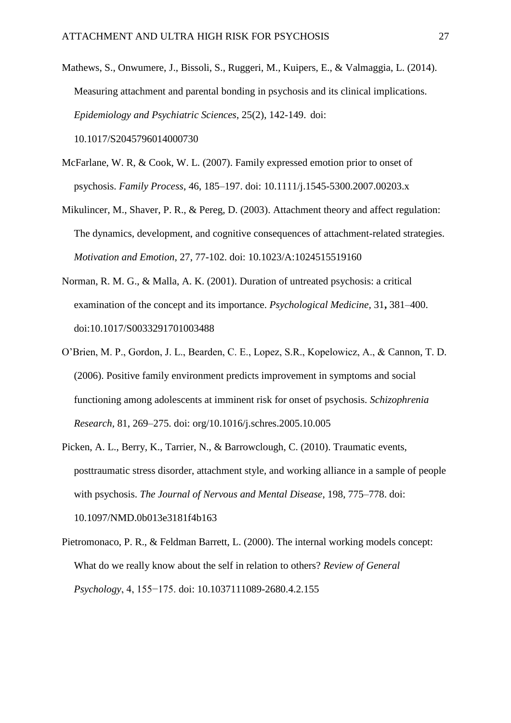- Mathews, S., Onwumere, J., Bissoli, S., Ruggeri, M., Kuipers, E., & Valmaggia, L. (2014). Measuring attachment and parental bonding in psychosis and its clinical implications. *Epidemiology and Psychiatric Sciences*, 25(2), 142-149. doi: 10.1017/S2045796014000730
- McFarlane, W. R, & Cook, W. L. (2007). Family expressed emotion prior to onset of psychosis. *Family Process*, 46, 185–197. doi: 10.1111/j.1545-5300.2007.00203.x

Mikulincer, M., Shaver, P. R., & Pereg, D. (2003). Attachment theory and affect regulation: The dynamics, development, and cognitive consequences of attachment-related strategies. *Motivation and Emotion*, 27, 77-102. doi: 10.1023/A:1024515519160

- Norman, R. M. G., & Malla, A. K. (2001). Duration of untreated psychosis: a critical examination of the concept and its importance. *Psychological Medicine,* 31**,** 381–400. doi:10.1017/S0033291701003488
- O'Brien, M. P., Gordon, J. L., Bearden, C. E., Lopez, S.R., Kopelowicz, A., & Cannon, T. D. (2006). Positive family environment predicts improvement in symptoms and social functioning among adolescents at imminent risk for onset of psychosis. *Schizophrenia Research,* 81, 269–275. doi: org/10.1016/j.schres.2005.10.005
- Picken, A. L., Berry, K., Tarrier, N., & Barrowclough, C. (2010). Traumatic events, posttraumatic stress disorder, attachment style, and working alliance in a sample of people with psychosis. *The Journal of Nervous and Mental Disease*, 198, 775–778. doi: 10.1097/NMD.0b013e3181f4b163
- Pietromonaco, P. R., & Feldman Barrett, L. (2000). The internal working models concept: What do we really know about the self in relation to others? *Review of General Psychology*, 4, 155−175. doi: 10.1037111089-2680.4.2.155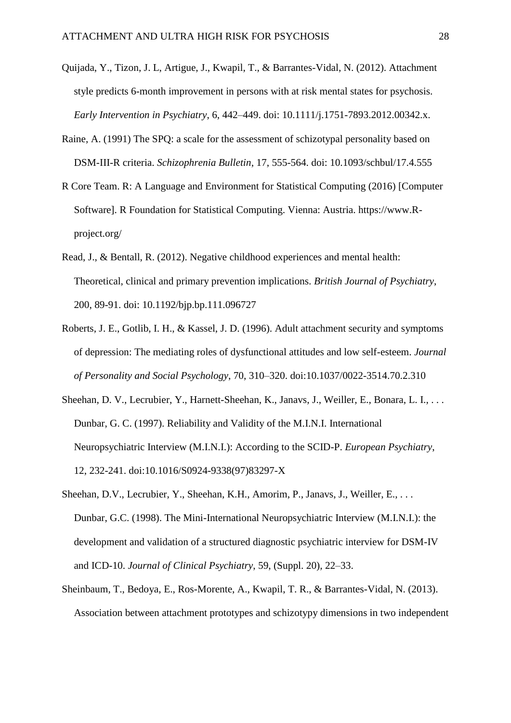- Quijada, Y., Tizon, J. L, Artigue, J., Kwapil, T., & Barrantes-Vidal, N. (2012). Attachment style predicts 6-month improvement in persons with at risk mental states for psychosis. *Early Intervention in Psychiatry*, 6, 442–449. doi: 10.1111/j.1751-7893.2012.00342.x.
- Raine, A. (1991) The SPQ: a scale for the assessment of schizotypal personality based on DSM-III-R criteria. *Schizophrenia Bulletin*, 17, 555-564. doi: 10.1093/schbul/17.4.555
- R Core Team. R: A Language and Environment for Statistical Computing (2016) [Computer Software]. R Foundation for Statistical Computing. Vienna: Austria. https://www.Rproject.org/
- Read, J., & Bentall, R. (2012). Negative childhood experiences and mental health: Theoretical, clinical and primary prevention implications. *British Journal of Psychiatry*, 200, 89-91. doi: 10.1192/bjp.bp.111.096727
- Roberts, J. E., Gotlib, I. H., & Kassel, J. D. (1996). Adult attachment security and symptoms of depression: The mediating roles of dysfunctional attitudes and low self-esteem. *Journal of Personality and Social Psychology*, 70, 310–320. doi:10.1037/0022-3514.70.2.310
- Sheehan, D. V., Lecrubier, Y., Harnett-Sheehan, K., Janavs, J., Weiller, E., Bonara, L. I., ... Dunbar, G. C. (1997). Reliability and Validity of the M.I.N.I. International Neuropsychiatric Interview (M.I.N.I.): According to the SCID-P. *European Psychiatry*, 12, 232-241. doi:10.1016/S0924-9338(97)83297-X
- Sheehan, D.V., Lecrubier, Y., Sheehan, K.H., Amorim, P., Janavs, J., Weiller, E., ... Dunbar, G.C. (1998). The Mini-International Neuropsychiatric Interview (M.I.N.I.): the development and validation of a structured diagnostic psychiatric interview for DSM-IV and ICD-10. *Journal of Clinical Psychiatry*, 59, (Suppl. 20), 22–33.
- Sheinbaum, T., Bedoya, E., Ros-Morente, A., Kwapil, T. R., & Barrantes-Vidal, N. (2013). Association between attachment prototypes and schizotypy dimensions in two independent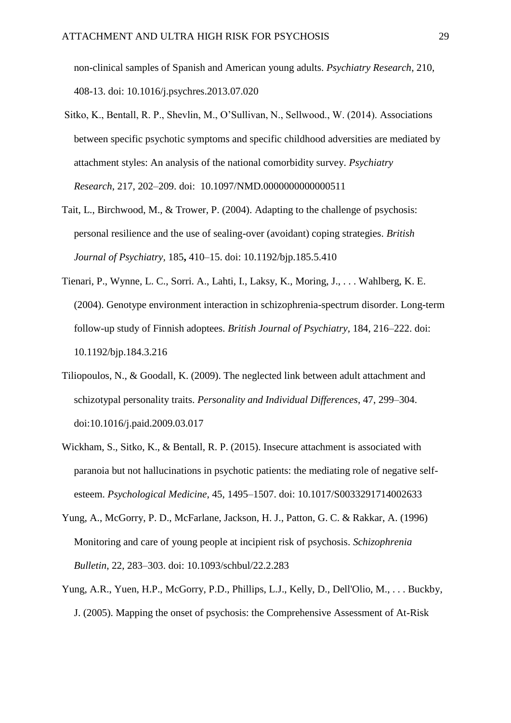non-clinical samples of Spanish and American young adults. *Psychiatry Research*, 210, 408-13. doi: [10.1016/j.psychres.2013.07.020](http://doi.org/10.1016/j.psychres.2013.07.020)

- Sitko, K., Bentall, R. P., Shevlin, M., O'Sullivan, N., Sellwood., W. (2014). Associations between specific psychotic symptoms and specific childhood adversities are mediated by attachment styles: An analysis of the national comorbidity survey. *Psychiatry Research*, 217, 202–209. doi: 10.1097/NMD.0000000000000511
- Tait, L., Birchwood, M., & Trower, P. (2004). Adapting to the challenge of psychosis: personal resilience and the use of sealing-over (avoidant) coping strategies. *British Journal of Psychiatry,* 185**,** 410–15. doi: 10.1192/bjp.185.5.410
- Tienari, P., Wynne, L. C., Sorri. A., Lahti, I., Laksy, K., Moring, J., . . . Wahlberg, K. E. (2004). Genotype environment interaction in schizophrenia-spectrum disorder. Long-term follow-up study of Finnish adoptees. *British Journal of Psychiatry,* 184, 216–222. doi: 10.1192/bjp.184.3.216
- Tiliopoulos, N., & Goodall, K. (2009). The neglected link between adult attachment and schizotypal personality traits. *Personality and Individual Differences*, 47, 299–304. doi:10.1016/j.paid.2009.03.017
- Wickham, S., Sitko, K., & Bentall, R. P. (2015). Insecure attachment is associated with paranoia but not hallucinations in psychotic patients: the mediating role of negative selfesteem. *Psychological Medicine*, 45, 1495–1507. doi: 10.1017/S0033291714002633
- Yung, A., McGorry, P. D., McFarlane, Jackson, H. J., Patton, G. C. & Rakkar, A. (1996) Monitoring and care of young people at incipient risk of psychosis. *Schizophrenia Bulletin*, 22, 283–303. doi: 10.1093/schbul/22.2.283
- Yung, A.R., Yuen, H.P., McGorry, P.D., Phillips, L.J., Kelly, D., Dell'Olio, M., . . . Buckby, J. (2005). Mapping the onset of psychosis: the Comprehensive Assessment of At-Risk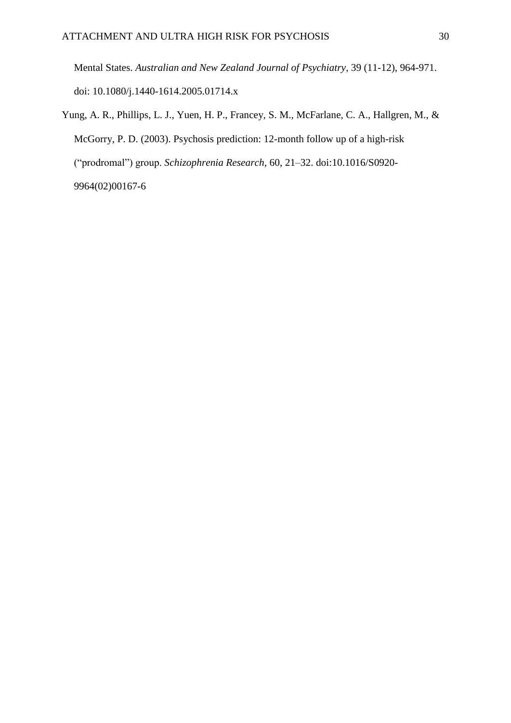Mental States. *Australian and New Zealand Journal of Psychiatry*, 39 (11-12), 964-971. doi: 10.1080/j.1440-1614.2005.01714.x

Yung, A. R., Phillips, L. J., Yuen, H. P., Francey, S. M., McFarlane, C. A., Hallgren, M., & McGorry, P. D. (2003). Psychosis prediction: 12-month follow up of a high-risk ("prodromal") group. *Schizophrenia Research*, 60, 21–32. doi:10.1016/S0920- 9964(02)00167-6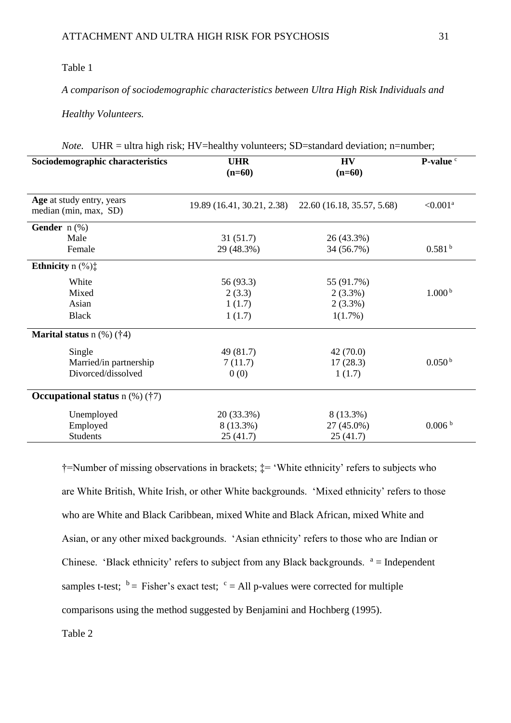# Table 1

*A comparison of sociodemographic characteristics between Ultra High Risk Individuals and* 

*Healthy Volunteers.*

| Sociodemographic characteristics                   | <b>UHR</b><br>$(n=60)$     | <b>HV</b><br>$(n=60)$      | P-value <sup>c</sup> |  |  |
|----------------------------------------------------|----------------------------|----------------------------|----------------------|--|--|
| Age at study entry, years<br>median (min, max, SD) | 19.89 (16.41, 30.21, 2.38) | 22.60 (16.18, 35.57, 5.68) | $< 0.001^a$          |  |  |
| Gender $n$ (%)                                     |                            |                            |                      |  |  |
| Male                                               | 31(51.7)                   | 26 (43.3%)                 |                      |  |  |
| Female                                             | 29 (48.3%)                 | 34 (56.7%)                 | 0.581 <sup>b</sup>   |  |  |
| <b>Ethnicity</b> n $(\%)$ :                        |                            |                            |                      |  |  |
| White                                              | 56 (93.3)                  | 55 (91.7%)                 |                      |  |  |
| Mixed                                              | 2(3.3)                     | $2(3.3\%)$                 | 1.000 <sup>b</sup>   |  |  |
| Asian                                              | 1(1.7)                     | $2(3.3\%)$                 |                      |  |  |
| <b>Black</b>                                       | 1(1.7)                     | 1(1.7%)                    |                      |  |  |
| <b>Marital status</b> $n$ (%) (†4)                 |                            |                            |                      |  |  |
| Single                                             | 49 (81.7)                  | 42(70.0)                   |                      |  |  |
| Married/in partnership                             | 7(11.7)                    | 17(28.3)                   | 0.050 <sup>b</sup>   |  |  |
| Divorced/dissolved                                 | 0(0)                       | 1(1.7)                     |                      |  |  |
| Occupational status $n$ (%) (†7)                   |                            |                            |                      |  |  |
| Unemployed                                         | 20 (33.3%)                 | 8 (13.3%)                  |                      |  |  |
| Employed                                           | 8 (13.3%)                  | 27 (45.0%)                 | 0.006 <sup>b</sup>   |  |  |
| <b>Students</b>                                    | 25(41.7)                   | 25(41.7)                   |                      |  |  |

|  | <i>Note.</i> UHR = ultra high risk; HV=healthy volunteers; SD=standard deviation; n=number; |  |
|--|---------------------------------------------------------------------------------------------|--|
|  |                                                                                             |  |

†=Number of missing observations in brackets; ‡= 'White ethnicity' refers to subjects who are White British, White Irish, or other White backgrounds. 'Mixed ethnicity' refers to those who are White and Black Caribbean, mixed White and Black African, mixed White and Asian, or any other mixed backgrounds. 'Asian ethnicity' refers to those who are Indian or Chinese. 'Black ethnicity' refers to subject from any Black backgrounds.  $a =$  Independent samples t-test;  $\bar{b}$  = Fisher's exact test;  $\bar{c}$  = All p-values were corrected for multiple comparisons using the method suggested by Benjamini and Hochberg (1995).

Table 2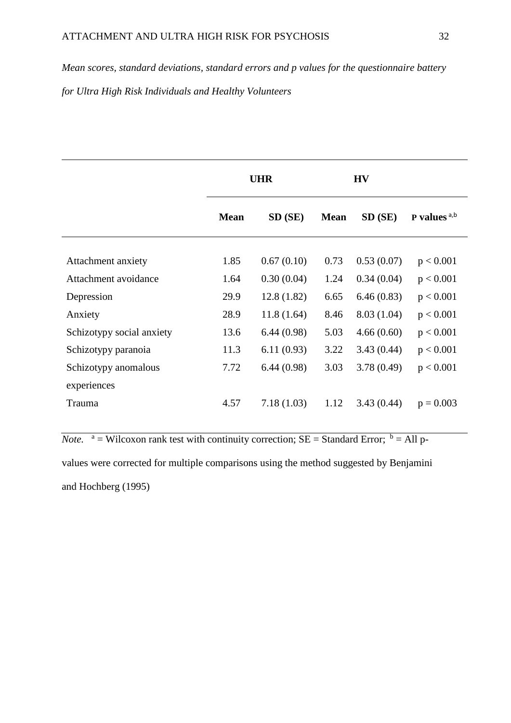*Mean scores, standard deviations, standard errors and p values for the questionnaire battery for Ultra High Risk Individuals and Healthy Volunteers*

|                           |             | <b>UHR</b> |             | <b>HV</b>  |                 |
|---------------------------|-------------|------------|-------------|------------|-----------------|
|                           | <b>Mean</b> | SD (SE)    | <b>Mean</b> | $SD$ (SE)  | P values $a, b$ |
|                           |             |            |             |            |                 |
| Attachment anxiety        | 1.85        | 0.67(0.10) | 0.73        | 0.53(0.07) | p < 0.001       |
| Attachment avoidance      | 1.64        | 0.30(0.04) | 1.24        | 0.34(0.04) | p < 0.001       |
| Depression                | 29.9        | 12.8(1.82) | 6.65        | 6.46(0.83) | p < 0.001       |
| Anxiety                   | 28.9        | 11.8(1.64) | 8.46        | 8.03(1.04) | p < 0.001       |
| Schizotypy social anxiety | 13.6        | 6.44(0.98) | 5.03        | 4.66(0.60) | p < 0.001       |
| Schizotypy paranoia       | 11.3        | 6.11(0.93) | 3.22        | 3.43(0.44) | p < 0.001       |
| Schizotypy anomalous      | 7.72        | 6.44(0.98) | 3.03        | 3.78(0.49) | p < 0.001       |
| experiences               |             |            |             |            |                 |
| Trauma                    | 4.57        | 7.18(1.03) | 1.12        | 3.43(0.44) | $p = 0.003$     |

*Note.*  $a =$  Wilcoxon rank test with continuity correction; SE = Standard Error;  $b =$  All pvalues were corrected for multiple comparisons using the method suggested by Benjamini and Hochberg (1995)